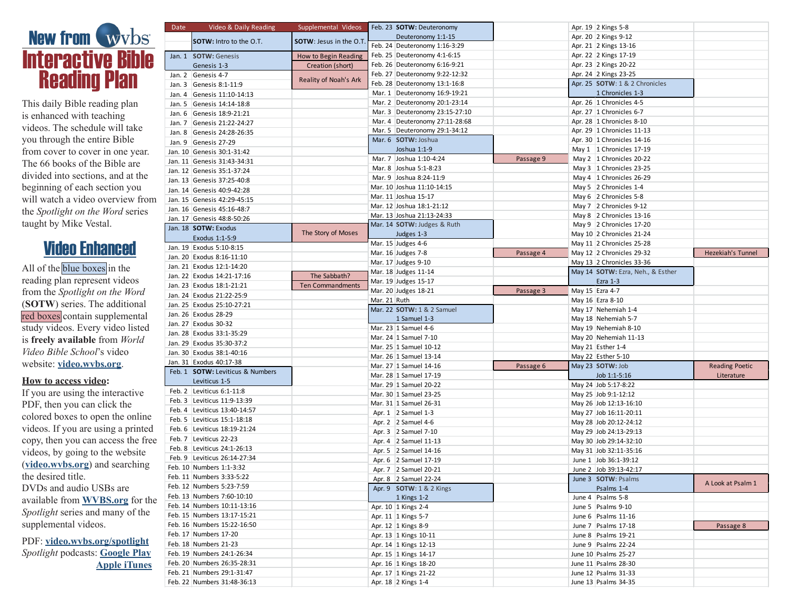

This daily Bible reading plan is enhanced with teaching videos. The schedule will take you through the entire Bible from cover to cover in one year. The 66 books of the Bible are divided into sections, and at the beginning of each section you will watch a video overview from the *Spotlight on the Word* series taught by Mike Vestal.

## Video Enhanced

All of the blue boxes in the reading plan represent videos from the *Spotlight on the Word* (**SOTW**) series. The additional red boxes contain supplemental study videos. Every video listed is **freely available** from *World Video Bible School*'s video website: **[video.wvbs.org](https://video.wvbs.org/)**.

## **How to access video:**

If you are using the interactive PDF, then you can click the colored boxes to open the online videos. If you are using a printed copy, then you can access the free videos, by going to the website (**[video.wvbs.org](https://video.wvbs.org/)**) and searching the desired title. DVDs and audio USBs are available from **[WVBS.org](https://www.wvbs.org/)** for the *Spotlight* series and many of the supplemental videos.

PDF: **[video.wvbs.org/spotlight](https://video.wvbs.org/series/spotlight-on-the-word/)** *Spotlight* podcasts: **[Google Play](https://play.google.com/music/m/Iayujmmtd6hqxw4zehlhibxuye4) [Apple iTunes](https://itunes.apple.com/us/podcast/spotlight-on-the-word/id1326322522)**

| Date | Video & Daily Reading                                       | Supplemental Videos           | Feb. 23 SOTW: Deuteronomy      |           | Apr. 19 2 Kings 5-8               |                          |
|------|-------------------------------------------------------------|-------------------------------|--------------------------------|-----------|-----------------------------------|--------------------------|
|      | <b>SOTW:</b> Intro to the O.T.                              | <b>SOTW: Jesus in the O.T</b> | Deuteronomy 1:1-15             |           | Apr. 20 2 Kings 9-12              |                          |
|      |                                                             |                               | Feb. 24 Deuteronomy 1:16-3:29  |           | Apr. 21 2 Kings 13-16             |                          |
|      | Jan. 1 SOTW: Genesis                                        | How to Begin Reading          | Feb. 25 Deuteronomy 4:1-6:15   |           | Apr. 22 2 Kings 17-19             |                          |
|      | Genesis 1-3                                                 | Creation (short)              | Feb. 26 Deuteronomy 6:16-9:21  |           | Apr. 23 2 Kings 20-22             |                          |
|      | Jan. 2 Genesis 4-7                                          |                               | Feb. 27 Deuteronomy 9:22-12:32 |           | Apr. 24 2 Kings 23-25             |                          |
|      | Jan. 3 Genesis 8:1-11:9                                     | Reality of Noah's Ark         | Feb. 28 Deuteronomy 13:1-16:8  |           | Apr. 25 SOTW: 1 & 2 Chronicles    |                          |
|      | Jan. 4 Genesis 11:10-14:13                                  |                               | Mar. 1 Deuteronomy 16:9-19:21  |           | 1 Chronicles 1-3                  |                          |
|      | Jan. 5 Genesis 14:14-18:8                                   |                               | Mar. 2 Deuteronomy 20:1-23:14  |           | Apr. 26 1 Chronicles 4-5          |                          |
|      | Jan. 6 Genesis 18:9-21:21                                   |                               | Mar. 3 Deuteronomy 23:15-27:10 |           | Apr. 27 1 Chronicles 6-7          |                          |
|      | Jan. 7 Genesis 21:22-24:27                                  |                               | Mar. 4 Deuteronomy 27:11-28:68 |           | Apr. 28 1 Chronicles 8-10         |                          |
|      | Jan. 8 Genesis 24:28-26:35                                  |                               | Mar. 5 Deuteronomy 29:1-34:12  |           | Apr. 29   1 Chronicles 11-13      |                          |
|      | Jan. 9 Genesis 27-29                                        |                               | Mar. 6 SOTW: Joshua            |           | Apr. 30   1 Chronicles 14-16      |                          |
|      |                                                             |                               | Joshua 1:1-9                   |           | May 1   1 Chronicles 17-19        |                          |
|      | Jan. 10 Genesis 30:1-31:42                                  |                               | Mar. 7 Joshua 1:10-4:24        | Passage 9 | May 2 1 Chronicles 20-22          |                          |
|      | Jan. 11 Genesis 31:43-34:31                                 |                               | Mar. 8 Joshua 5:1-8:23         |           | May 3 1 Chronicles 23-25          |                          |
|      | Jan. 12 Genesis 35:1-37:24                                  |                               | Mar. 9 Joshua 8:24-11:9        |           | May 4   1 Chronicles 26-29        |                          |
|      | Jan. 13 Genesis 37:25-40:8                                  |                               | Mar. 10 Joshua 11:10-14:15     |           | May 5 2 Chronicles 1-4            |                          |
|      | Jan. 14 Genesis 40:9-42:28                                  |                               | Mar. 11 Joshua 15-17           |           | May 6 2 Chronicles 5-8            |                          |
|      | Jan. 15 Genesis 42:29-45:15                                 |                               | Mar. 12 Joshua 18:1-21:12      |           | May 7 2 Chronicles 9-12           |                          |
|      | Jan. 16 Genesis 45:16-48:7                                  |                               | Mar. 13 Joshua 21:13-24:33     |           | May 8 2 Chronicles 13-16          |                          |
|      | Jan. 17 Genesis 48:8-50:26                                  |                               |                                |           | May 9 2 Chronicles 17-20          |                          |
|      | Jan. 18 SOTW: Exodus                                        | The Story of Moses            | Mar. 14 SOTW: Judges & Ruth    |           |                                   |                          |
|      | Exodus 1:1-5:9                                              |                               | Judges 1-3                     |           | May 10 2 Chronicles 21-24         |                          |
|      | Jan. 19 Exodus 5:10-8:15                                    |                               | Mar. 15 Judges 4-6             |           | May 11 2 Chronicles 25-28         |                          |
|      | Jan. 20 Exodus 8:16-11:10                                   |                               | Mar. 16 Judges 7-8             | Passage 4 | May 12 2 Chronicles 29-32         | <b>Hezekiah's Tunnel</b> |
|      | Jan. 21 Exodus 12:1-14:20                                   |                               | Mar. 17 Judges 9-10            |           | May 13 2 Chronicles 33-36         |                          |
|      | Jan. 22 Exodus 14:21-17:16                                  | The Sabbath?                  | Mar. 18 Judges 11-14           |           | May 14 SOTW: Ezra, Neh., & Esther |                          |
|      | Jan. 23 Exodus 18:1-21:21                                   | <b>Ten Commandments</b>       | Mar. 19 Judges 15-17           |           | Ezra $1-3$                        |                          |
|      | Jan. 24 Exodus 21:22-25:9                                   |                               | Mar. 20 Judges 18-21           | Passage 3 | May 15 Ezra 4-7                   |                          |
|      | Jan. 25 Exodus 25:10-27:21                                  |                               | Mar. 21 Ruth                   |           | May 16 Ezra 8-10                  |                          |
|      | Jan. 26 Exodus 28-29                                        |                               | Mar. 22 SOTW: 1 & 2 Samuel     |           | May 17 Nehemiah 1-4               |                          |
|      | Jan. 27 Exodus 30-32                                        |                               | 1 Samuel 1-3                   |           | May 18 Nehemiah 5-7               |                          |
|      | Jan. 28 Exodus 33:1-35:29                                   |                               | Mar. 23 1 Samuel 4-6           |           | May 19 Nehemiah 8-10              |                          |
|      | Jan. 29 Exodus 35:30-37:2                                   |                               | Mar. 24 1 Samuel 7-10          |           | May 20 Nehemiah 11-13             |                          |
|      | Jan. 30 Exodus 38:1-40:16                                   |                               | Mar. 25 1 Samuel 10-12         |           | May 21 Esther 1-4                 |                          |
|      | Jan. 31 Exodus 40:17-38                                     |                               | Mar. 26 1 Samuel 13-14         |           | May 22 Esther 5-10                |                          |
|      | Feb. 1 <b>SOTW:</b> Leviticus & Numbers                     |                               | Mar. 27 1 Samuel 14-16         | Passage 6 | May 23 SOTW: Job                  | <b>Reading Poetic</b>    |
|      | Leviticus 1-5                                               |                               | Mar. 28 1 Samuel 17-19         |           | Job 1:1-5:16                      | Literature               |
|      | Feb. 2 Leviticus 6:1-11:8                                   |                               | Mar. 29 1 Samuel 20-22         |           | May 24 Job 5:17-8:22              |                          |
|      | Feb. 3 Leviticus 11:9-13:39                                 |                               | Mar. 30 1 Samuel 23-25         |           | May 25 Job 9:1-12:12              |                          |
|      |                                                             |                               | Mar. 31 1 Samuel 26-31         |           | May 26 Job 12:13-16:10            |                          |
|      | Feb. 4 Leviticus 13:40-14:57<br>Feb. 5 Leviticus 15:1-18:18 |                               | Apr. 1 2 Samuel 1-3            |           | May 27 Job 16:11-20:11            |                          |
|      |                                                             |                               | Apr. 2 $\,$ 2 Samuel 4-6       |           | May 28 Job 20:12-24:12            |                          |
|      | Feb. 6 Leviticus 18:19-21:24                                |                               | Apr. 3 2 Samuel 7-10           |           | May 29 Job 24:13-29:13            |                          |
|      | Feb. 7 Leviticus 22-23                                      |                               | Apr. 4 2 Samuel 11-13          |           | May 30 Job 29:14-32:10            |                          |
|      | Feb. 8 Leviticus 24:1-26:13                                 |                               | Apr. 5 2 Samuel 14-16          |           | May 31 Job 32:11-35:16            |                          |
|      | Feb. 9 Leviticus 26:14-27:34                                |                               | Apr. 6 2 Samuel 17-19          |           | June 1 Job 36:1-39:12             |                          |
|      | Feb. 10 Numbers 1:1-3:32                                    |                               | Apr. 7 2 Samuel 20-21          |           | June 2 Job 39:13-42:17            |                          |
|      | Feb. 11 Numbers 3:33-5:22                                   |                               | Apr. 8 2 Samuel 22-24          |           | June 3 SOTW: Psalms               | A Look at Psalm 1        |
|      | Feb. 12 Numbers 5:23-7:59                                   |                               | Apr. 9 SOTW: 1 & 2 Kings       |           | Psalms 1-4                        |                          |
|      | Feb. 13 Numbers 7:60-10:10                                  |                               | 1 Kings 1-2                    |           | June 4 Psalms 5-8                 |                          |
|      | Feb. 14 Numbers 10:11-13:16                                 |                               | Apr. 10 1 Kings 2-4            |           | June 5 Psalms 9-10                |                          |
|      | Feb. 15 Numbers 13:17-15:21                                 |                               | Apr. 11   1 Kings 5-7          |           | June $6$ Psalms 11-16             |                          |
|      | Feb. 16 Numbers 15:22-16:50                                 |                               | Apr. 12 1 Kings 8-9            |           | June 7 Psalms 17-18               | Passage 8                |
|      | Feb. 17 Numbers 17-20                                       |                               | Apr. 13 1 Kings 10-11          |           | June 8 Psalms 19-21               |                          |
|      | Feb. 18 Numbers 21-23                                       |                               | Apr. 14 1 Kings 12-13          |           | June 9 Psalms 22-24               |                          |
|      | Feb. 19 Numbers 24:1-26:34                                  |                               | Apr. 15 1 Kings 14-17          |           | June 10 Psalms 25-27              |                          |
|      | Feb. 20 Numbers 26:35-28:31                                 |                               | Apr. 16 1 Kings 18-20          |           | June 11 Psalms 28-30              |                          |
|      | Feb. 21 Numbers 29:1-31:47                                  |                               | Apr. 17 1 Kings 21-22          |           | June 12 Psalms 31-33              |                          |
|      | Feb. 22 Numbers 31:48-36:13                                 |                               | Apr. 18 2 Kings 1-4            |           | June 13 Psalms 34-35              |                          |
|      |                                                             |                               |                                |           |                                   |                          |